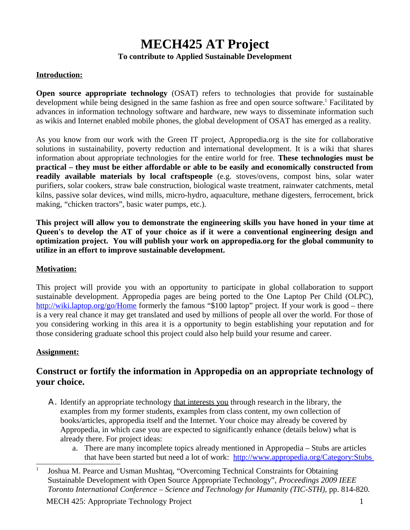# **MECH425 AT Project To contribute to Applied Sustainable Development**

## **Introduction:**

**Open source appropriate technology** (OSAT) refers to technologies that provide for sustainable development while being designed in the same fashion as free and open source software.<sup>[1](#page-0-0)</sup> Facilitated by advances in information technology software and hardware, new ways to disseminate information such as wikis and Internet enabled mobile phones, the global development of OSAT has emerged as a reality.

As you know from our work with the Green IT project, Appropedia.org is the site for collaborative solutions in sustainability, poverty reduction and international development. It is a wiki that shares information about appropriate technologies for the entire world for free. **These technologies must be practical – they must be either affordable or able to be easily and economically constructed from readily available materials by local craftspeople** (e.g. stoves/ovens, compost bins, solar water purifiers, solar cookers, straw bale construction, biological waste treatment, rainwater catchments, metal kilns, passive solar devices, wind mills, micro-hydro, aquaculture, methane digesters, ferrocement, brick making, "chicken tractors", basic water pumps, etc.).

**This project will allow you to demonstrate the engineering skills you have honed in your time at Queen's to develop the AT of your choice as if it were a conventional engineering design and optimization project. You will publish your work on appropedia.org for the global community to utilize in an effort to improve sustainable development.**

#### **Motivation:**

This project will provide you with an opportunity to participate in global collaboration to support sustainable development. Appropedia pages are being ported to the One Laptop Per Child (OLPC), <http://wiki.laptop.org/go/Home>formerly the famous "\$100 laptop" project. If your work is good – there is a very real chance it may get translated and used by millions of people all over the world. For those of you considering working in this area it is a opportunity to begin establishing your reputation and for those considering graduate school this project could also help build your resume and career.

## **Assignment:**

# **Construct or fortify the information in Appropedia on an appropriate technology of your choice.**

- Α. Identify an appropriate technology that interests you through research in the library, the examples from my former students, examples from class content, my own collection of books/articles, appropedia itself and the Internet. Your choice may already be covered by Appropedia, in which case you are expected to significantly enhance (details below) what is already there. For project ideas:
	- a. There are many incomplete topics already mentioned in Appropedia Stubs are articles that have been started but need a lot of work: <http://www.appropedia.org/Category:Stubs>

<span id="page-0-0"></span><sup>1</sup> Joshua M. Pearce and Usman Mushtaq, "Overcoming Technical Constraints for Obtaining Sustainable Development with Open Source Appropriate Technology", *Proceedings 2009 IEEE Toronto International Conference – Science and Technology for Humanity (TIC-STH),* pp. 814-820*.*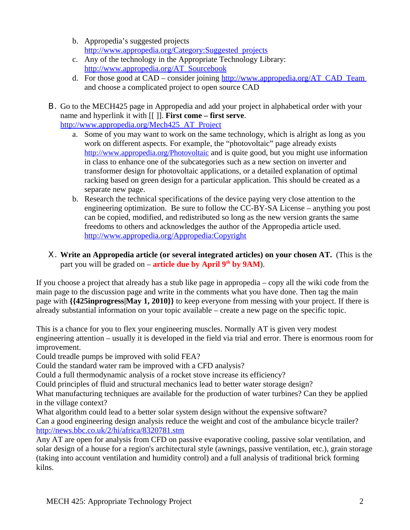- b. Appropedia's suggested projects [http://www.appropedia.org/Category:Suggested\\_projects](http://www.appropedia.org/Category:Suggested_projects)
- c. Any of the technology in the Appropriate Technology Library: [http://www.appropedia.org/AT\\_Sourcebook](http://www.appropedia.org/AT_Sourcebook)
- d. For those good at  $CAD$  consider joining  $\frac{http://www.appendia.org/AT CAD Team}{}$ and choose a complicated project to open source CAD
- Β. Go to the MECH425 page in Appropedia and add your project in alphabetical order with your name and hyperlink it with [[ ]]. **First come – first serve**. http://www.appropedia.org/Mech425 AT Project
	- a. Some of you may want to work on the same technology, which is alright as long as you work on different aspects. For example, the "photovoltaic" page already exists <http://www.appropedia.org/Photovoltaic> and is quite good, but you might use information in class to enhance one of the subcategories such as a new section on inverter and transformer design for photovoltaic applications, or a detailed explanation of optimal racking based on green design for a particular application. This should be created as a separate new page.
	- b. Research the technical specifications of the device paying very close attention to the engineering optimization. Be sure to follow the CC-BY-SA License – anything you post can be copied, modified, and redistributed so long as the new version grants the same freedoms to others and acknowledges the author of the Appropedia article used. <http://www.appropedia.org/Appropedia:Copyright>
- Χ. **Write an Appropedia article (or several integrated articles) on your chosen AT.** (This is the part you will be graded on – **article due by April 9th by 9AM**).

If you choose a project that already has a stub like page in appropedia – copy all the wiki code from the main page to the discussion page and write in the comments what you have done. Then tag the main page with **{{425inprogress|May 1, 2010}}** to keep everyone from messing with your project. If there is already substantial information on your topic available – create a new page on the specific topic.

This is a chance for you to flex your engineering muscles. Normally AT is given very modest engineering attention – usually it is developed in the field via trial and error. There is enormous room for improvement.

Could treadle pumps be improved with solid FEA?

Could the standard water ram be improved with a CFD analysis?

Could a full thermodynamic analysis of a rocket stove increase its efficiency?

Could principles of fluid and structural mechanics lead to better water storage design?

What manufacturing techniques are available for the production of water turbines? Can they be applied in the village context?

What algorithm could lead to a better solar system design without the expensive software? Can a good engineering design analysis reduce the weight and cost of the ambulance bicycle trailer? <http://news.bbc.co.uk/2/hi/africa/8320781.stm>

Any AT are open for analysis from CFD on passive evaporative cooling, passive solar ventilation, and solar design of a house for a region's architectural style (awnings, passive ventilation, etc.), grain storage (taking into account ventilation and humidity control) and a full analysis of traditional brick forming kilns.